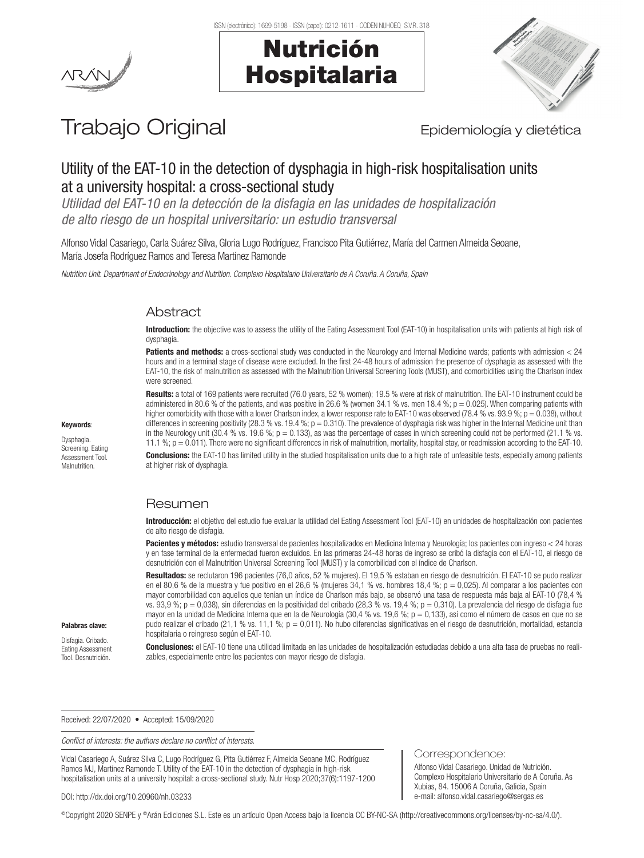



# Trabajo Original **Epidemiología y dietética**

# Utility of the EAT-10 in the detection of dysphagia in high-risk hospitalisation units at a university hospital: a cross-sectional study

*Utilidad del EAT-10 en la detección de la disfagia en las unidades de hospitalización de alto riesgo de un hospital universitario: un estudio transversal*

Alfonso Vidal Casariego, Carla Suárez Silva, Gloria Lugo Rodríguez, Francisco Pita Gutiérrez, María del Carmen Almeida Seoane, María Josefa Rodríguez Ramos and Teresa Martínez Ramonde

*Nutrition Unit. Department of Endocrinology and Nutrition. Complexo Hospitalario Universitario de A Coruña. A Coruña, Spain*

# **Abstract**

Introduction: the objective was to assess the utility of the Eating Assessment Tool (EAT-10) in hospitalisation units with patients at high risk of dysphagia.

Patients and methods: a cross-sectional study was conducted in the Neurology and Internal Medicine wards; patients with admission < 24 hours and in a terminal stage of disease were excluded. In the first 24-48 hours of admission the presence of dysphagia as assessed with the EAT-10, the risk of malnutrition as assessed with the Malnutrition Universal Screening Tools (MUST), and comorbidities using the Charlson index were screened.

Results: a total of 169 patients were recruited (76.0 years, 52 % women); 19.5 % were at risk of malnutrition. The EAT-10 instrument could be administered in 80.6 % of the patients, and was positive in 26.6 % (women 34.1 % vs. men 18.4 %;  $p = 0.025$ ). When comparing patients with higher comorbidity with those with a lower Charlson index, a lower response rate to EAT-10 was observed (78.4 % vs. 93.9 %; p = 0.038), without differences in screening positivity (28.3 % vs. 19.4 %;  $p = 0.310$ ). The prevalence of dysphagia risk was higher in the Internal Medicine unit than in the Neurology unit (30.4 % vs. 19.6 %;  $p = 0.133$ ), as was the percentage of cases in which screening could not be performed (21.1 % vs. 11.1 %; p = 0.011). There were no significant differences in risk of malnutrition, mortality, hospital stay, or readmission according to the EAT-10.

Conclusions: the EAT-10 has limited utility in the studied hospitalisation units due to a high rate of unfeasible tests, especially among patients at higher risk of dysphagia.

# Resumen

Introducción: el objetivo del estudio fue evaluar la utilidad del Eating Assessment Tool (EAT-10) en unidades de hospitalización con pacientes de alto riesgo de disfagia.

Pacientes y métodos: estudio transversal de pacientes hospitalizados en Medicina Interna y Neurología; los pacientes con ingreso < 24 horas y en fase terminal de la enfermedad fueron excluidos. En las primeras 24-48 horas de ingreso se cribó la disfagia con el EAT-10, el riesgo de desnutrición con el Malnutrition Universal Screening Tool (MUST) y la comorbilidad con el índice de Charlson.

Resultados: se reclutaron 196 pacientes (76,0 años, 52 % mujeres). El 19,5 % estaban en riesgo de desnutrición. El EAT-10 se pudo realizar en el 80,6 % de la muestra y fue positivo en el 26,6 % (mujeres 34,1 % vs. hombres 18,4 %;  $p = 0.025$ ). Al comparar a los pacientes con mayor comorbilidad con aquellos que tenían un índice de Charlson más bajo, se observó una tasa de respuesta más baja al EAT-10 (78,4 % vs. 93,9 %; p = 0,038), sin diferencias en la positividad del cribado (28,3 % vs. 19,4 %; p = 0,310). La prevalencia del riesgo de disfagia fue mayor en la unidad de Medicina Interna que en la de Neurología (30,4 % vs. 19,6 %; p = 0,133), así como el número de casos en que no se pudo realizar el cribado (21,1 % vs. 11,1 %; p = 0,011). No hubo diferencias significativas en el riesgo de desnutrición, mortalidad, estancia hospitalaria o reingreso según el EAT-10.

Correspondence:

Alfonso Vidal Casariego. Unidad de Nutrición. Complexo Hospitalario Universitario de A Coruña. As Xubias, 84. 15006 A Coruña, Galicia, Spain e-mail: alfonso.vidal.casariego@sergas.es

Conclusiones: el EAT-10 tiene una utilidad limitada en las unidades de hospitalización estudiadas debido a una alta tasa de pruebas no realizables, especialmente entre los pacientes con mayor riesgo de disfagia.

Received: 22/07/2020 • Accepted: 15/09/2020

*Conflict of interests: the authors declare no conflict of interests.*

Vidal Casariego A, Suárez Silva C, Lugo Rodríguez G, Pita Gutiérrez F, Almeida Seoane MC, Rodríguez Ramos MJ, Martínez Ramonde T. Utility of the EAT-10 in the detection of dysphagia in high-risk hospitalisation units at a university hospital: a cross-sectional study. Nutr Hosp 2020;37(6):1197-1200

DOI: http://dx.doi.org/10.20960/nh.03233

©Copyright 2020 SENPE y ©Arán Ediciones S.L. Este es un artículo Open Access bajo la licencia CC BY-NC-SA (http://creativecommons.org/licenses/by-nc-sa/4.0/).

Keywords: Dysphagia.

Screening. Eating Assessment Tool. Malnutrition.

Palabras clave: Disfagia. Cribado. Eating Assessment Tool. Desnutrición.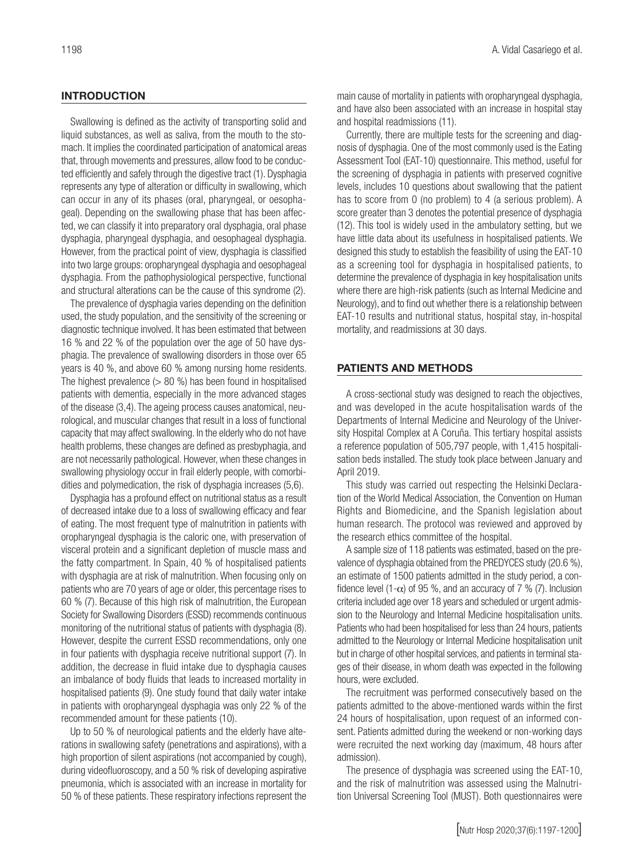# **INTRODUCTION**

Swallowing is defined as the activity of transporting solid and liquid substances, as well as saliva, from the mouth to the stomach. It implies the coordinated participation of anatomical areas that, through movements and pressures, allow food to be conducted efficiently and safely through the digestive tract (1). Dysphagia represents any type of alteration or difficulty in swallowing, which can occur in any of its phases (oral, pharyngeal, or oesophageal). Depending on the swallowing phase that has been affected, we can classify it into preparatory oral dysphagia, oral phase dysphagia, pharyngeal dysphagia, and oesophageal dysphagia. However, from the practical point of view, dysphagia is classified into two large groups: oropharyngeal dysphagia and oesophageal dysphagia. From the pathophysiological perspective, functional and structural alterations can be the cause of this syndrome (2).

The prevalence of dysphagia varies depending on the definition used, the study population, and the sensitivity of the screening or diagnostic technique involved. It has been estimated that between 16 % and 22 % of the population over the age of 50 have dysphagia. The prevalence of swallowing disorders in those over 65 years is 40 %, and above 60 % among nursing home residents. The highest prevalence (> 80 %) has been found in hospitalised patients with dementia, especially in the more advanced stages of the disease (3,4). The ageing process causes anatomical, neurological, and muscular changes that result in a loss of functional capacity that may affect swallowing. In the elderly who do not have health problems, these changes are defined as presbyphagia, and are not necessarily pathological. However, when these changes in swallowing physiology occur in frail elderly people, with comorbidities and polymedication, the risk of dysphagia increases (5,6).

Dysphagia has a profound effect on nutritional status as a result of decreased intake due to a loss of swallowing efficacy and fear of eating. The most frequent type of malnutrition in patients with oropharyngeal dysphagia is the caloric one, with preservation of visceral protein and a significant depletion of muscle mass and the fatty compartment. In Spain, 40 % of hospitalised patients with dysphagia are at risk of malnutrition. When focusing only on patients who are 70 years of age or older, this percentage rises to 60 % (7). Because of this high risk of malnutrition, the European Society for Swallowing Disorders (ESSD) recommends continuous monitoring of the nutritional status of patients with dysphagia (8). However, despite the current ESSD recommendations, only one in four patients with dysphagia receive nutritional support (7). In addition, the decrease in fluid intake due to dysphagia causes an imbalance of body fluids that leads to increased mortality in hospitalised patients (9). One study found that daily water intake in patients with oropharyngeal dysphagia was only 22 % of the recommended amount for these patients (10).

Up to 50 % of neurological patients and the elderly have alterations in swallowing safety (penetrations and aspirations), with a high proportion of silent aspirations (not accompanied by cough), during videofluoroscopy, and a 50 % risk of developing aspirative pneumonia, which is associated with an increase in mortality for 50 % of these patients. These respiratory infections represent the main cause of mortality in patients with oropharyngeal dysphagia, and have also been associated with an increase in hospital stay and hospital readmissions (11).

Currently, there are multiple tests for the screening and diagnosis of dysphagia. One of the most commonly used is the Eating Assessment Tool (EAT-10) questionnaire. This method, useful for the screening of dysphagia in patients with preserved cognitive levels, includes 10 questions about swallowing that the patient has to score from 0 (no problem) to 4 (a serious problem). A score greater than 3 denotes the potential presence of dysphagia (12). This tool is widely used in the ambulatory setting, but we have little data about its usefulness in hospitalised patients. We designed this study to establish the feasibility of using the EAT-10 as a screening tool for dysphagia in hospitalised patients, to determine the prevalence of dysphagia in key hospitalisation units where there are high-risk patients (such as Internal Medicine and Neurology), and to find out whether there is a relationship between EAT-10 results and nutritional status, hospital stay, in-hospital mortality, and readmissions at 30 days.

#### PATIENTS AND METHODS

A cross-sectional study was designed to reach the objectives, and was developed in the acute hospitalisation wards of the Departments of Internal Medicine and Neurology of the University Hospital Complex at A Coruña. This tertiary hospital assists a reference population of 505,797 people, with 1,415 hospitalisation beds installed. The study took place between January and April 2019.

This study was carried out respecting the Helsinki Declaration of the World Medical Association, the Convention on Human Rights and Biomedicine, and the Spanish legislation about human research. The protocol was reviewed and approved by the research ethics committee of the hospital.

A sample size of 118 patients was estimated, based on the prevalence of dysphagia obtained from the PREDYCES study (20.6 %), an estimate of 1500 patients admitted in the study period, a confidence level (1- $\alpha$ ) of 95 %, and an accuracy of 7 % (7). Inclusion criteria included age over 18 years and scheduled or urgent admission to the Neurology and Internal Medicine hospitalisation units. Patients who had been hospitalised for less than 24 hours, patients admitted to the Neurology or Internal Medicine hospitalisation unit but in charge of other hospital services, and patients in terminal stages of their disease, in whom death was expected in the following hours, were excluded.

The recruitment was performed consecutively based on the patients admitted to the above-mentioned wards within the first 24 hours of hospitalisation, upon request of an informed consent. Patients admitted during the weekend or non-working days were recruited the next working day (maximum, 48 hours after admission).

The presence of dysphagia was screened using the EAT-10, and the risk of malnutrition was assessed using the Malnutrition Universal Screening Tool (MUST). Both questionnaires were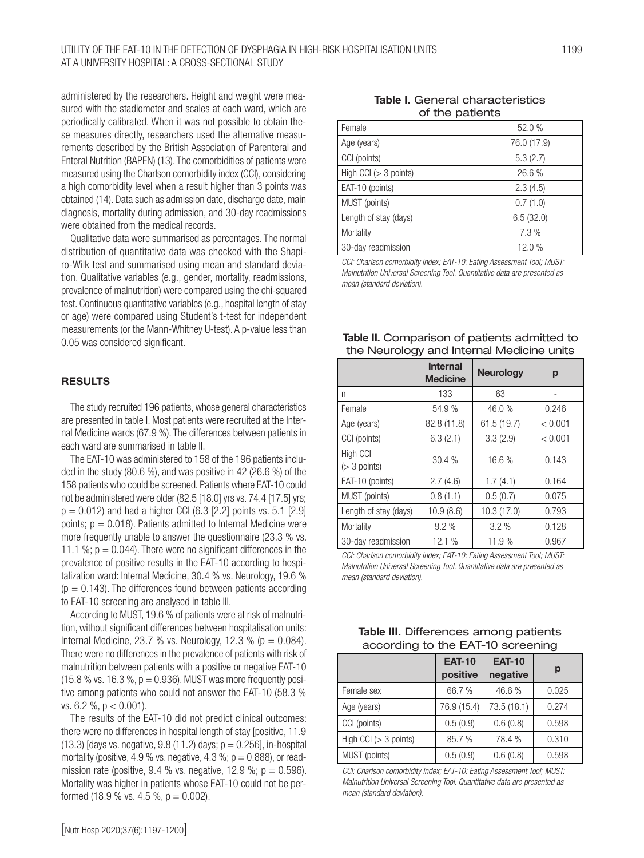administered by the researchers. Height and weight were measured with the stadiometer and scales at each ward, which are periodically calibrated. When it was not possible to obtain these measures directly, researchers used the alternative measurements described by the British Association of Parenteral and Enteral Nutrition (BAPEN) (13). The comorbidities of patients were measured using the Charlson comorbidity index (CCI), considering a high comorbidity level when a result higher than 3 points was obtained (14). Data such as admission date, discharge date, main diagnosis, mortality during admission, and 30-day readmissions were obtained from the medical records.

Qualitative data were summarised as percentages. The normal distribution of quantitative data was checked with the Shapiro-Wilk test and summarised using mean and standard deviation. Qualitative variables (e.g., gender, mortality, readmissions, prevalence of malnutrition) were compared using the chi-squared test. Continuous quantitative variables (e.g., hospital length of stay or age) were compared using Student's t-test for independent measurements (or the Mann-Whitney U-test). A p-value less than 0.05 was considered significant.

#### RESULTS

The study recruited 196 patients, whose general characteristics are presented in table I. Most patients were recruited at the Internal Medicine wards (67.9 %). The differences between patients in each ward are summarised in table II.

The EAT-10 was administered to 158 of the 196 patients included in the study (80.6 %), and was positive in 42 (26.6 %) of the 158 patients who could be screened. Patients where EAT-10 could not be administered were older (82.5 [18.0] yrs vs. 74.4 [17.5] yrs;  $p = 0.012$ ) and had a higher CCI (6.3 [2.2] points vs. 5.1 [2.9] points;  $p = 0.018$ ). Patients admitted to Internal Medicine were more frequently unable to answer the questionnaire (23.3 % vs. 11.1 %;  $p = 0.044$ ). There were no significant differences in the prevalence of positive results in the EAT-10 according to hospitalization ward: Internal Medicine, 30.4 % vs. Neurology, 19.6 %  $(p = 0.143)$ . The differences found between patients according to EAT-10 screening are analysed in table III.

According to MUST, 19.6 % of patients were at risk of malnutrition, without significant differences between hospitalisation units: Internal Medicine, 23.7 % vs. Neurology, 12.3 % ( $p = 0.084$ ). There were no differences in the prevalence of patients with risk of malnutrition between patients with a positive or negative EAT-10 (15.8 % vs. 16.3 %,  $p = 0.936$ ). MUST was more frequently positive among patients who could not answer the EAT-10 (58.3 % vs. 6.2 %,  $p < 0.001$ ).

The results of the EAT-10 did not predict clinical outcomes: there were no differences in hospital length of stay [positive, 11.9  $(13.3)$  [days vs. negative, 9.8 (11.2) days;  $p = 0.256$ ], in-hospital mortality (positive, 4.9 % vs. negative, 4.3 %;  $p = 0.888$ ), or readmission rate (positive, 9.4 % vs. negative, 12.9 %;  $p = 0.596$ ). Mortality was higher in patients whose EAT-10 could not be performed (18.9 % vs. 4.5 %,  $p = 0.002$ ).

### Table I. General characteristics of the patients

| Female                  | 52.0%       |
|-------------------------|-------------|
| Age (years)             | 76.0 (17.9) |
| CCI (points)            | 5.3(2.7)    |
| High CCI $(> 3$ points) | 26.6%       |
| EAT-10 (points)         | 2.3(4.5)    |
| MUST (points)           | 0.7(1.0)    |
| Length of stay (days)   | 6.5(32.0)   |
| Mortality               | 7.3 %       |
| 30-day readmission      | 12.0%       |

*CCI: Charlson comorbidity index; EAT-10: Eating Assessment Tool; MUST: Malnutrition Universal Screening Tool. Quantitative data are presented as mean (standard deviation).* 

| Table II. Comparison of patients admitted to |
|----------------------------------------------|
| the Neurology and Internal Medicine units    |

|                            | <b>Internal</b><br><b>Medicine</b> | <b>Neurology</b> | р       |
|----------------------------|------------------------------------|------------------|---------|
| n                          | 133                                | 63               |         |
| Female                     | 54.9%                              | 46.0%            | 0.246   |
| Age (years)                | 82.8 (11.8)                        | 61.5(19.7)       | < 0.001 |
| CCI (points)               | 6.3(2.1)                           | 3.3(2.9)         | < 0.001 |
| High CCI<br>$(> 3$ points) | 30.4%                              | 16.6%            | 0.143   |
| EAT-10 (points)            | 2.7(4.6)                           | 1.7(4.1)         | 0.164   |
| MUST (points)              | 0.8(1.1)                           | 0.5(0.7)         | 0.075   |
| Length of stay (days)      | 10.9(8.6)                          | 10.3(17.0)       | 0.793   |
| Mortality                  | 9.2%                               | 3.2%             | 0.128   |
| 30-day readmission         | 12.1%                              | 11.9%            | 0.967   |

*CCI: Charlson comorbidity index; EAT-10: Eating Assessment Tool; MUST: Malnutrition Universal Screening Tool. Quantitative data are presented as mean (standard deviation).* 

| according to the EAT-10 screening |                           |                           |       |  |  |
|-----------------------------------|---------------------------|---------------------------|-------|--|--|
|                                   | <b>EAT-10</b><br>positive | <b>EAT-10</b><br>negative | р     |  |  |
| Female sex                        | 66.7 %                    | 46.6%                     | 0.025 |  |  |
| Age (years)                       | 76.9 (15.4)               | 73.5 (18.1)               | 0.274 |  |  |
| CCI (points)                      | 0.5(0.9)                  | 0.6(0.8)                  | 0.598 |  |  |
| High CCI $(> 3$ points)           | 85.7 %                    | 78.4 %                    | 0.310 |  |  |
| MUST (points)                     | 0.5(0.9)                  | 0.6(0.8)                  | 0.598 |  |  |

Table III. Differences among patients

*CCI: Charlson comorbidity index; EAT-10: Eating Assessment Tool; MUST: Malnutrition Universal Screening Tool. Quantitative data are presented as mean (standard deviation).*